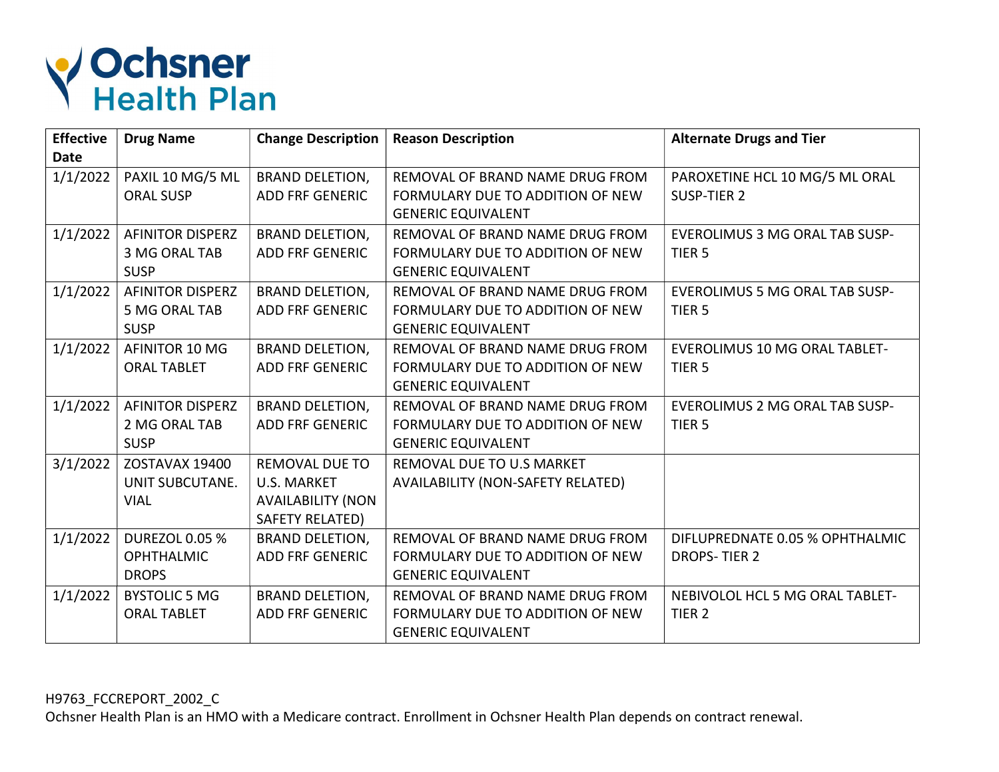

| <b>Effective</b><br><b>Date</b> | <b>Drug Name</b>        | <b>Change Description</b> | <b>Reason Description</b>         | <b>Alternate Drugs and Tier</b>       |
|---------------------------------|-------------------------|---------------------------|-----------------------------------|---------------------------------------|
| 1/1/2022                        | PAXIL 10 MG/5 ML        | <b>BRAND DELETION,</b>    | REMOVAL OF BRAND NAME DRUG FROM   | PAROXETINE HCL 10 MG/5 ML ORAL        |
|                                 | <b>ORAL SUSP</b>        | <b>ADD FRF GENERIC</b>    | FORMULARY DUE TO ADDITION OF NEW  | SUSP-TIER 2                           |
|                                 |                         |                           | <b>GENERIC EQUIVALENT</b>         |                                       |
| 1/1/2022                        | <b>AFINITOR DISPERZ</b> | <b>BRAND DELETION,</b>    | REMOVAL OF BRAND NAME DRUG FROM   | <b>EVEROLIMUS 3 MG ORAL TAB SUSP-</b> |
|                                 | 3 MG ORAL TAB           | <b>ADD FRF GENERIC</b>    | FORMULARY DUE TO ADDITION OF NEW  | TIER <sub>5</sub>                     |
|                                 | <b>SUSP</b>             |                           | <b>GENERIC EQUIVALENT</b>         |                                       |
| 1/1/2022                        | <b>AFINITOR DISPERZ</b> | <b>BRAND DELETION,</b>    | REMOVAL OF BRAND NAME DRUG FROM   | <b>EVEROLIMUS 5 MG ORAL TAB SUSP-</b> |
|                                 | 5 MG ORAL TAB           | <b>ADD FRF GENERIC</b>    | FORMULARY DUE TO ADDITION OF NEW  | TIER <sub>5</sub>                     |
|                                 | <b>SUSP</b>             |                           | <b>GENERIC EQUIVALENT</b>         |                                       |
| 1/1/2022                        | AFINITOR 10 MG          | <b>BRAND DELETION,</b>    | REMOVAL OF BRAND NAME DRUG FROM   | <b>EVEROLIMUS 10 MG ORAL TABLET-</b>  |
|                                 | <b>ORAL TABLET</b>      | <b>ADD FRF GENERIC</b>    | FORMULARY DUE TO ADDITION OF NEW  | TIER <sub>5</sub>                     |
|                                 |                         |                           | <b>GENERIC EQUIVALENT</b>         |                                       |
| 1/1/2022                        | <b>AFINITOR DISPERZ</b> | <b>BRAND DELETION,</b>    | REMOVAL OF BRAND NAME DRUG FROM   | <b>EVEROLIMUS 2 MG ORAL TAB SUSP-</b> |
|                                 | 2 MG ORAL TAB           | <b>ADD FRF GENERIC</b>    | FORMULARY DUE TO ADDITION OF NEW  | TIER <sub>5</sub>                     |
|                                 | <b>SUSP</b>             |                           | <b>GENERIC EQUIVALENT</b>         |                                       |
| 3/1/2022                        | ZOSTAVAX 19400          | <b>REMOVAL DUE TO</b>     | REMOVAL DUE TO U.S MARKET         |                                       |
|                                 | UNIT SUBCUTANE.         | <b>U.S. MARKET</b>        | AVAILABILITY (NON-SAFETY RELATED) |                                       |
|                                 | <b>VIAL</b>             | <b>AVAILABILITY (NON</b>  |                                   |                                       |
|                                 |                         | SAFETY RELATED)           |                                   |                                       |
| 1/1/2022                        | <b>DUREZOL 0.05 %</b>   | <b>BRAND DELETION,</b>    | REMOVAL OF BRAND NAME DRUG FROM   | DIFLUPREDNATE 0.05 % OPHTHALMIC       |
|                                 | <b>OPHTHALMIC</b>       | <b>ADD FRF GENERIC</b>    | FORMULARY DUE TO ADDITION OF NEW  | <b>DROPS-TIER 2</b>                   |
|                                 | <b>DROPS</b>            |                           | <b>GENERIC EQUIVALENT</b>         |                                       |
| 1/1/2022                        | <b>BYSTOLIC 5 MG</b>    | <b>BRAND DELETION,</b>    | REMOVAL OF BRAND NAME DRUG FROM   | NEBIVOLOL HCL 5 MG ORAL TABLET-       |
|                                 | <b>ORAL TABLET</b>      | <b>ADD FRF GENERIC</b>    | FORMULARY DUE TO ADDITION OF NEW  | TIER <sub>2</sub>                     |
|                                 |                         |                           | <b>GENERIC EQUIVALENT</b>         |                                       |